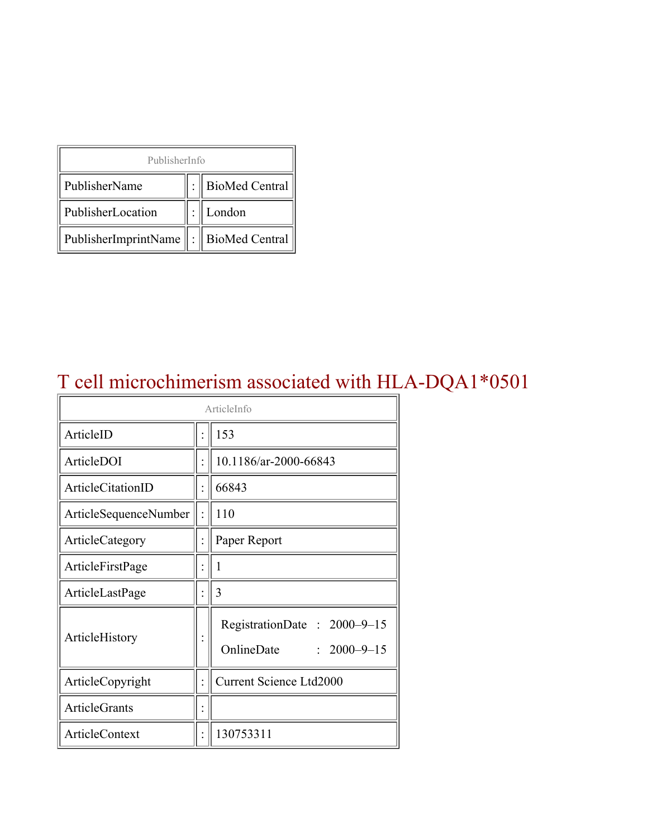| PublisherInfo                               |  |                    |  |  |
|---------------------------------------------|--|--------------------|--|--|
| PublisherName                               |  | :   BioMed Central |  |  |
| PublisherLocation                           |  | London             |  |  |
| PublisherImprintName    :    BioMed Central |  |                    |  |  |

# T cell microchimerism associated with HLA-DQA1\*0501

| ArticleInfo           |  |                                                                |  |
|-----------------------|--|----------------------------------------------------------------|--|
| ArticleID             |  | 153                                                            |  |
| ArticleDOI            |  | 10.1186/ar-2000-66843                                          |  |
| ArticleCitationID     |  | 66843                                                          |  |
| ArticleSequenceNumber |  | 110                                                            |  |
| ArticleCategory       |  | Paper Report                                                   |  |
| ArticleFirstPage      |  | 1                                                              |  |
| ArticleLastPage       |  | 3                                                              |  |
| ArticleHistory        |  | RegistrationDate: 2000-9-15<br>OnlineDate<br>$: 2000 - 9 - 15$ |  |
| ArticleCopyright      |  | <b>Current Science Ltd2000</b>                                 |  |
| <b>ArticleGrants</b>  |  |                                                                |  |
| ArticleContext        |  | 130753311                                                      |  |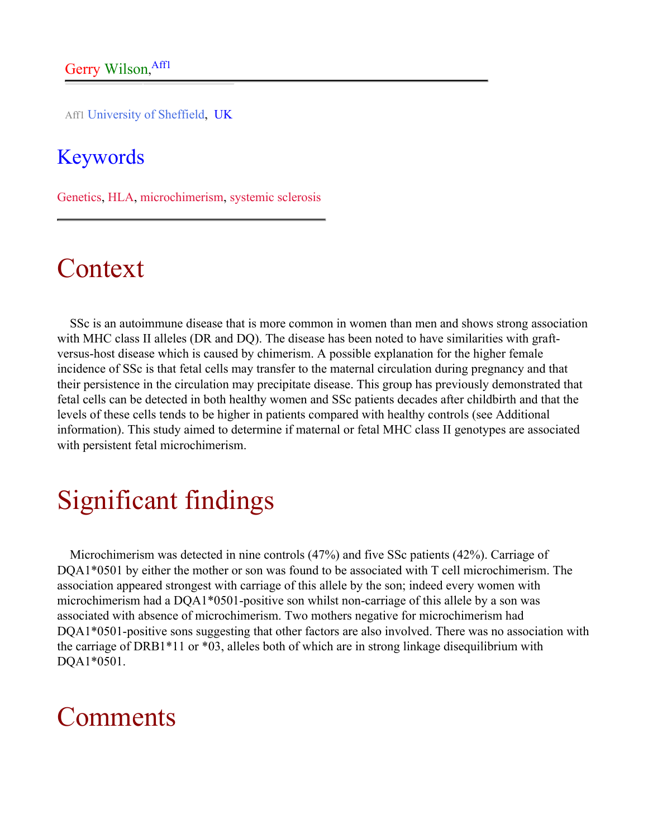Aff1 University of Sheffield, UK

#### Keywords

Genetics, HLA, microchimerism, systemic sclerosis

### Context

SSc is an autoimmune disease that is more common in women than men and shows strong association with MHC class II alleles (DR and DQ). The disease has been noted to have similarities with graftversus-host disease which is caused by chimerism. A possible explanation for the higher female incidence of SSc is that fetal cells may transfer to the maternal circulation during pregnancy and that their persistence in the circulation may precipitate disease. This group has previously demonstrated that fetal cells can be detected in both healthy women and SSc patients decades after childbirth and that the levels of these cells tends to be higher in patients compared with healthy controls (see Additional information). This study aimed to determine if maternal or fetal MHC class II genotypes are associated with persistent fetal microchimerism.

### Significant findings

Microchimerism was detected in nine controls (47%) and five SSc patients (42%). Carriage of DQA1\*0501 by either the mother or son was found to be associated with T cell microchimerism. The association appeared strongest with carriage of this allele by the son; indeed every women with microchimerism had a DQA1\*0501-positive son whilst non-carriage of this allele by a son was associated with absence of microchimerism. Two mothers negative for microchimerism had DQA1\*0501-positive sons suggesting that other factors are also involved. There was no association with the carriage of DRB1\*11 or \*03, alleles both of which are in strong linkage disequilibrium with DQA1\*0501.

### Comments